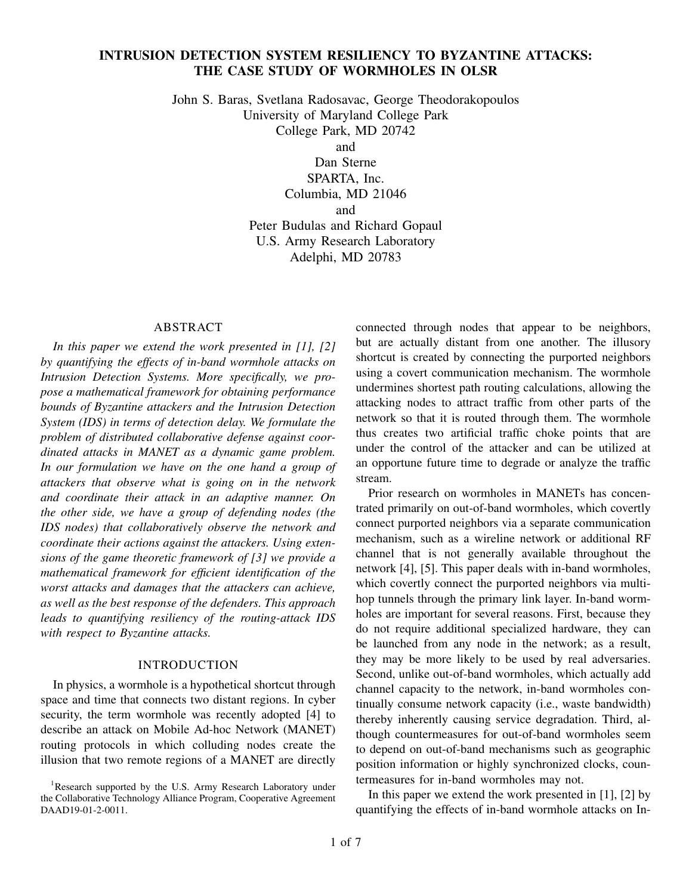# INTRUSION DETECTION SYSTEM RESILIENCY TO BYZANTINE ATTACKS: THE CASE STUDY OF WORMHOLES IN OLSR

John S. Baras, Svetlana Radosavac, George Theodorakopoulos University of Maryland College Park College Park, MD 20742 and Dan Sterne SPARTA, Inc. Columbia, MD 21046 and

Peter Budulas and Richard Gopaul U.S. Army Research Laboratory Adelphi, MD 20783

### ABSTRACT

*In this paper we extend the work presented in [1], [2] by quantifying the effects of in-band wormhole attacks on Intrusion Detection Systems. More specifically, we propose a mathematical framework for obtaining performance bounds of Byzantine attackers and the Intrusion Detection System (IDS) in terms of detection delay. We formulate the problem of distributed collaborative defense against coordinated attacks in MANET as a dynamic game problem. In our formulation we have on the one hand a group of attackers that observe what is going on in the network and coordinate their attack in an adaptive manner. On the other side, we have a group of defending nodes (the IDS nodes) that collaboratively observe the network and coordinate their actions against the attackers. Using extensions of the game theoretic framework of [3] we provide a mathematical framework for efficient identification of the worst attacks and damages that the attackers can achieve, as well as the best response of the defenders. This approach leads to quantifying resiliency of the routing-attack IDS with respect to Byzantine attacks.*

### INTRODUCTION

In physics, a wormhole is a hypothetical shortcut through space and time that connects two distant regions. In cyber security, the term wormhole was recently adopted [4] to describe an attack on Mobile Ad-hoc Network (MANET) routing protocols in which colluding nodes create the illusion that two remote regions of a MANET are directly connected through nodes that appear to be neighbors, but are actually distant from one another. The illusory shortcut is created by connecting the purported neighbors using a covert communication mechanism. The wormhole undermines shortest path routing calculations, allowing the attacking nodes to attract traffic from other parts of the network so that it is routed through them. The wormhole thus creates two artificial traffic choke points that are under the control of the attacker and can be utilized at an opportune future time to degrade or analyze the traffic stream.

Prior research on wormholes in MANETs has concentrated primarily on out-of-band wormholes, which covertly connect purported neighbors via a separate communication mechanism, such as a wireline network or additional RF channel that is not generally available throughout the network [4], [5]. This paper deals with in-band wormholes, which covertly connect the purported neighbors via multihop tunnels through the primary link layer. In-band wormholes are important for several reasons. First, because they do not require additional specialized hardware, they can be launched from any node in the network; as a result, they may be more likely to be used by real adversaries. Second, unlike out-of-band wormholes, which actually add channel capacity to the network, in-band wormholes continually consume network capacity (i.e., waste bandwidth) thereby inherently causing service degradation. Third, although countermeasures for out-of-band wormholes seem to depend on out-of-band mechanisms such as geographic position information or highly synchronized clocks, countermeasures for in-band wormholes may not.

In this paper we extend the work presented in [1], [2] by quantifying the effects of in-band wormhole attacks on In-

<sup>&</sup>lt;sup>1</sup>Research supported by the U.S. Army Research Laboratory under the Collaborative Technology Alliance Program, Cooperative Agreement DAAD19-01-2-0011.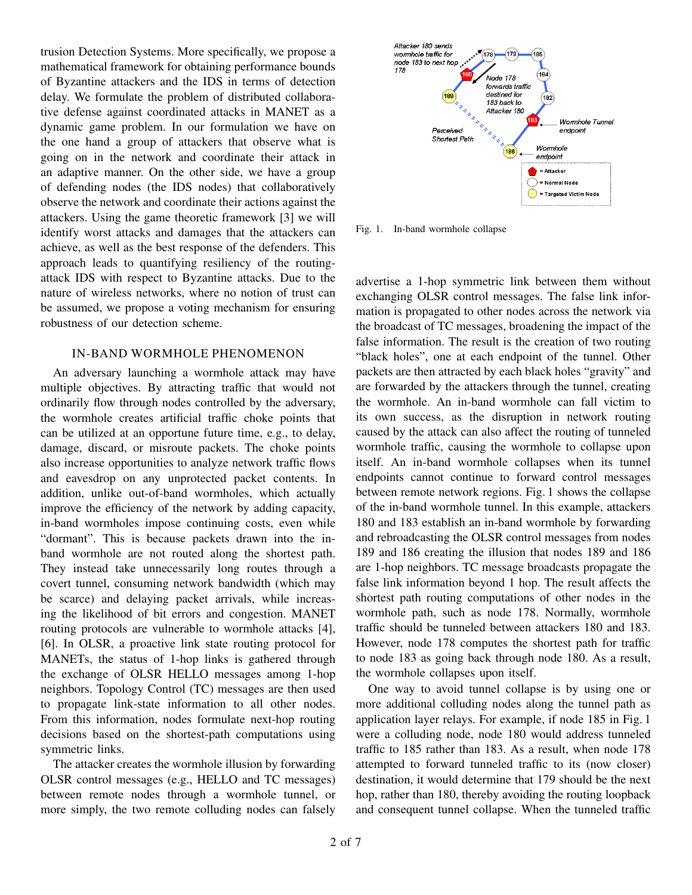trusion Detection Systems. More specifically, we propose a mathematical framework for obtaining performance bounds of Byzantine attackers and the IDS in terms of detection delay. We formulate the problem of distributed collaborative defense against coordinated attacks in MANET as a dynamic game problem. In our formulation we have on the one hand a group of attackers that observe what is going on in the network and coordinate their attack in an adaptive manner. On the other side, we have a group of defending nodes (the IDS nodes) that collaboratively observe the network and coordinate their actions against the attackers. Using the game theoretic framework [3] we will identify worst attacks and damages that the attackers can achieve, as well as the best response of the defenders. This approach leads to quantifying resiliency of the routingattack IDS with respect to Byzantine attacks. Due to the nature of wireless networks, where no notion of trust can be assumed, we propose a voting mechanism for ensuring robustness of our detection scheme.

### IN-BAND WORMHOLE PHENOMENON

An adversary launching a wormhole attack may have multiple objectives. By attracting traffic that would not ordinarily flow through nodes controlled by the adversary, the wormhole creates artificial traffic choke points that can be utilized at an opportune future time, e.g., to delay, damage, discard, or misroute packets. The choke points also increase opportunities to analyze network traffic flows and eavesdrop on any unprotected packet contents. In addition, unlike out-of-band wormholes, which actually improve the efficiency of the network by adding capacity, in-band wormholes impose continuing costs, even while "dormant". This is because packets drawn into the inband wormhole are not routed along the shortest path. They instead take unnecessarily long routes through a covert tunnel, consuming network bandwidth (which may be scarce) and delaying packet arrivals, while increasing the likelihood of bit errors and congestion. MANET routing protocols are vulnerable to wormhole attacks [4], [6]. In OLSR, a proactive link state routing protocol for MANETs, the status of 1-hop links is gathered through the exchange of OLSR HELLO messages among 1-hop neighbors. Topology Control (TC) messages are then used to propagate link-state information to all other nodes. From this information, nodes formulate next-hop routing decisions based on the shortest-path computations using symmetric links.

The attacker creates the wormhole illusion by forwarding OLSR control messages (e.g., HELLO and TC messages) between remote nodes through a wormhole tunnel, or more simply, the two remote colluding nodes can falsely



Fig. 1. In-band wormhole collapse

advertise a 1-hop symmetric link between them without exchanging OLSR control messages. The false link information is propagated to other nodes across the network via the broadcast of TC messages, broadening the impact of the false information. The result is the creation of two routing "black holes", one at each endpoint of the tunnel. Other packets are then attracted by each black holes "gravity" and are forwarded by the attackers through the tunnel, creating the wormhole. An in-band wormhole can fall victim to its own success, as the disruption in network routing caused by the attack can also affect the routing of tunneled wormhole traffic, causing the wormhole to collapse upon itself. An in-band wormhole collapses when its tunnel endpoints cannot continue to forward control messages between remote network regions. Fig. 1 shows the collapse of the in-band wormhole tunnel. In this example, attackers 180 and 183 establish an in-band wormhole by forwarding and rebroadcasting the OLSR control messages from nodes 189 and 186 creating the illusion that nodes 189 and 186 are 1-hop neighbors. TC message broadcasts propagate the false link information beyond 1 hop. The result affects the shortest path routing computations of other nodes in the wormhole path, such as node 178. Normally, wormhole traffic should be tunneled between attackers 180 and 183. However, node 178 computes the shortest path for traffic to node 183 as going back through node 180. As a result, the wormhole collapses upon itself.

One way to avoid tunnel collapse is by using one or more additional colluding nodes along the tunnel path as application layer relays. For example, if node 185 in Fig. 1 were a colluding node, node 180 would address tunneled traffic to 185 rather than 183. As a result, when node 178 attempted to forward tunneled traffic to its (now closer) destination, it would determine that 179 should be the next hop, rather than 180, thereby avoiding the routing loopback and consequent tunnel collapse. When the tunneled traffic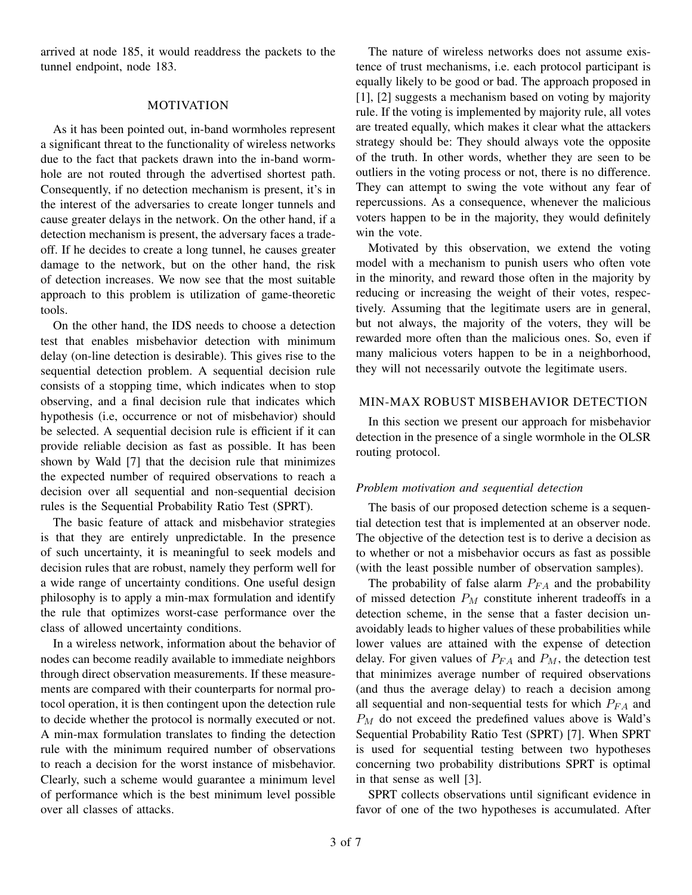arrived at node 185, it would readdress the packets to the tunnel endpoint, node 183.

# **MOTIVATION**

As it has been pointed out, in-band wormholes represent a significant threat to the functionality of wireless networks due to the fact that packets drawn into the in-band wormhole are not routed through the advertised shortest path. Consequently, if no detection mechanism is present, it's in the interest of the adversaries to create longer tunnels and cause greater delays in the network. On the other hand, if a detection mechanism is present, the adversary faces a tradeoff. If he decides to create a long tunnel, he causes greater damage to the network, but on the other hand, the risk of detection increases. We now see that the most suitable approach to this problem is utilization of game-theoretic tools.

On the other hand, the IDS needs to choose a detection test that enables misbehavior detection with minimum delay (on-line detection is desirable). This gives rise to the sequential detection problem. A sequential decision rule consists of a stopping time, which indicates when to stop observing, and a final decision rule that indicates which hypothesis (i.e, occurrence or not of misbehavior) should be selected. A sequential decision rule is efficient if it can provide reliable decision as fast as possible. It has been shown by Wald [7] that the decision rule that minimizes the expected number of required observations to reach a decision over all sequential and non-sequential decision rules is the Sequential Probability Ratio Test (SPRT).

The basic feature of attack and misbehavior strategies is that they are entirely unpredictable. In the presence of such uncertainty, it is meaningful to seek models and decision rules that are robust, namely they perform well for a wide range of uncertainty conditions. One useful design philosophy is to apply a min-max formulation and identify the rule that optimizes worst-case performance over the class of allowed uncertainty conditions.

In a wireless network, information about the behavior of nodes can become readily available to immediate neighbors through direct observation measurements. If these measurements are compared with their counterparts for normal protocol operation, it is then contingent upon the detection rule to decide whether the protocol is normally executed or not. A min-max formulation translates to finding the detection rule with the minimum required number of observations to reach a decision for the worst instance of misbehavior. Clearly, such a scheme would guarantee a minimum level of performance which is the best minimum level possible over all classes of attacks.

The nature of wireless networks does not assume existence of trust mechanisms, i.e. each protocol participant is equally likely to be good or bad. The approach proposed in [1], [2] suggests a mechanism based on voting by majority rule. If the voting is implemented by majority rule, all votes are treated equally, which makes it clear what the attackers strategy should be: They should always vote the opposite of the truth. In other words, whether they are seen to be outliers in the voting process or not, there is no difference. They can attempt to swing the vote without any fear of repercussions. As a consequence, whenever the malicious voters happen to be in the majority, they would definitely win the vote.

Motivated by this observation, we extend the voting model with a mechanism to punish users who often vote in the minority, and reward those often in the majority by reducing or increasing the weight of their votes, respectively. Assuming that the legitimate users are in general, but not always, the majority of the voters, they will be rewarded more often than the malicious ones. So, even if many malicious voters happen to be in a neighborhood, they will not necessarily outvote the legitimate users.

# MIN-MAX ROBUST MISBEHAVIOR DETECTION

In this section we present our approach for misbehavior detection in the presence of a single wormhole in the OLSR routing protocol.

#### *Problem motivation and sequential detection*

The basis of our proposed detection scheme is a sequential detection test that is implemented at an observer node. The objective of the detection test is to derive a decision as to whether or not a misbehavior occurs as fast as possible (with the least possible number of observation samples).

The probability of false alarm  $P_{FA}$  and the probability of missed detection  $P_M$  constitute inherent tradeoffs in a detection scheme, in the sense that a faster decision unavoidably leads to higher values of these probabilities while lower values are attained with the expense of detection delay. For given values of  $P_{FA}$  and  $P_M$ , the detection test that minimizes average number of required observations (and thus the average delay) to reach a decision among all sequential and non-sequential tests for which  $P_{FA}$  and  $P_M$  do not exceed the predefined values above is Wald's Sequential Probability Ratio Test (SPRT) [7]. When SPRT is used for sequential testing between two hypotheses concerning two probability distributions SPRT is optimal in that sense as well [3].

SPRT collects observations until significant evidence in favor of one of the two hypotheses is accumulated. After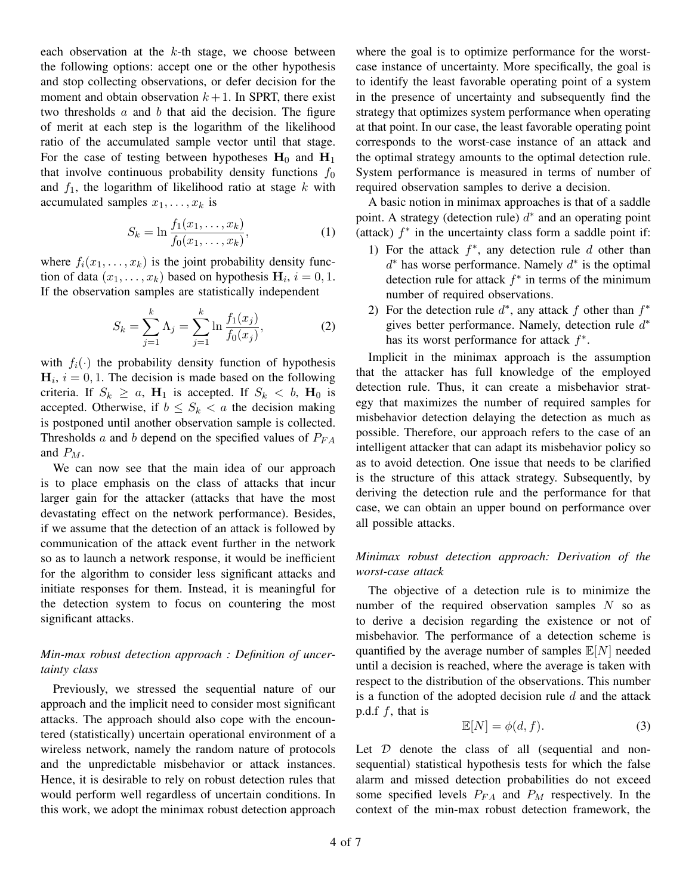each observation at the  $k$ -th stage, we choose between the following options: accept one or the other hypothesis and stop collecting observations, or defer decision for the moment and obtain observation  $k+1$ . In SPRT, there exist two thresholds  $a$  and  $b$  that aid the decision. The figure of merit at each step is the logarithm of the likelihood ratio of the accumulated sample vector until that stage. For the case of testing between hypotheses  $H_0$  and  $H_1$ that involve continuous probability density functions  $f_0$ and  $f_1$ , the logarithm of likelihood ratio at stage  $k$  with accumulated samples  $x_1, \ldots, x_k$  is

$$
S_k = \ln \frac{f_1(x_1, \dots, x_k)}{f_0(x_1, \dots, x_k)},
$$
\n(1)

where  $f_i(x_1, \ldots, x_k)$  is the joint probability density function of data  $(x_1, \ldots, x_k)$  based on hypothesis  $H_i$ ,  $i = 0, 1$ . If the observation samples are statistically independent

$$
S_k = \sum_{j=1}^k \Lambda_j = \sum_{j=1}^k \ln \frac{f_1(x_j)}{f_0(x_j)},
$$
 (2)

with  $f_i(\cdot)$  the probability density function of hypothesis  $H_i$ ,  $i = 0, 1$ . The decision is made based on the following criteria. If  $S_k \ge a$ ,  $H_1$  is accepted. If  $S_k < b$ ,  $H_0$  is accepted. Otherwise, if  $b \leq S_k < a$  the decision making is postponed until another observation sample is collected. Thresholds a and b depend on the specified values of  $P_{FA}$ and  $P_M$ .

We can now see that the main idea of our approach is to place emphasis on the class of attacks that incur larger gain for the attacker (attacks that have the most devastating effect on the network performance). Besides, if we assume that the detection of an attack is followed by communication of the attack event further in the network so as to launch a network response, it would be inefficient for the algorithm to consider less significant attacks and initiate responses for them. Instead, it is meaningful for the detection system to focus on countering the most significant attacks.

# *Min-max robust detection approach : Definition of uncertainty class*

Previously, we stressed the sequential nature of our approach and the implicit need to consider most significant attacks. The approach should also cope with the encountered (statistically) uncertain operational environment of a wireless network, namely the random nature of protocols and the unpredictable misbehavior or attack instances. Hence, it is desirable to rely on robust detection rules that would perform well regardless of uncertain conditions. In this work, we adopt the minimax robust detection approach where the goal is to optimize performance for the worstcase instance of uncertainty. More specifically, the goal is to identify the least favorable operating point of a system in the presence of uncertainty and subsequently find the strategy that optimizes system performance when operating at that point. In our case, the least favorable operating point corresponds to the worst-case instance of an attack and the optimal strategy amounts to the optimal detection rule. System performance is measured in terms of number of required observation samples to derive a decision.

A basic notion in minimax approaches is that of a saddle point. A strategy (detection rule)  $d^*$  and an operating point (attack)  $f^*$  in the uncertainty class form a saddle point if:

- 1) For the attack  $f^*$ , any detection rule  $d$  other than  $d^*$  has worse performance. Namely  $d^*$  is the optimal detection rule for attack  $f^*$  in terms of the minimum number of required observations.
- 2) For the detection rule  $d^*$ , any attack f other than  $f^*$ gives better performance. Namely, detection rule  $d^*$ has its worst performance for attack  $f^*$ .

Implicit in the minimax approach is the assumption that the attacker has full knowledge of the employed detection rule. Thus, it can create a misbehavior strategy that maximizes the number of required samples for misbehavior detection delaying the detection as much as possible. Therefore, our approach refers to the case of an intelligent attacker that can adapt its misbehavior policy so as to avoid detection. One issue that needs to be clarified is the structure of this attack strategy. Subsequently, by deriving the detection rule and the performance for that case, we can obtain an upper bound on performance over all possible attacks.

# *Minimax robust detection approach: Derivation of the worst-case attack*

The objective of a detection rule is to minimize the number of the required observation samples  $N$  so as to derive a decision regarding the existence or not of misbehavior. The performance of a detection scheme is quantified by the average number of samples  $\mathbb{E}[N]$  needed until a decision is reached, where the average is taken with respect to the distribution of the observations. This number is a function of the adopted decision rule  $d$  and the attack p.d.f  $f$ , that is

$$
\mathbb{E}[N] = \phi(d, f). \tag{3}
$$

Let  $D$  denote the class of all (sequential and nonsequential) statistical hypothesis tests for which the false alarm and missed detection probabilities do not exceed some specified levels  $P_{FA}$  and  $P_M$  respectively. In the context of the min-max robust detection framework, the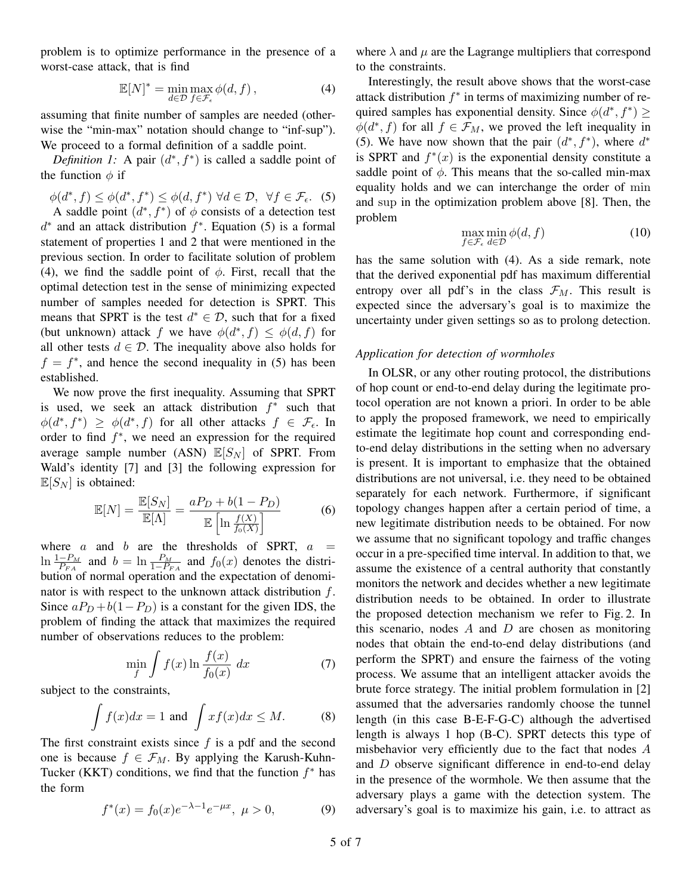problem is to optimize performance in the presence of a worst-case attack, that is find

$$
\mathbb{E}[N]^* = \min_{d \in \mathcal{D}} \max_{f \in \mathcal{F}_{\epsilon}} \phi(d, f), \qquad (4)
$$

assuming that finite number of samples are needed (otherwise the "min-max" notation should change to "inf-sup"). We proceed to a formal definition of a saddle point.

*Definition 1:* A pair  $(d^*, f^*)$  is called a saddle point of the function  $\phi$  if

$$
\phi(d^*, f) \le \phi(d^*, f^*) \le \phi(d, f^*) \,\,\forall d \in \mathcal{D}, \,\,\forall f \in \mathcal{F}_{\epsilon}.\tag{5}
$$

A saddle point  $(d^*, f^*)$  of  $\phi$  consists of a detection test  $d^*$  and an attack distribution  $f^*$ . Equation (5) is a formal statement of properties 1 and 2 that were mentioned in the previous section. In order to facilitate solution of problem (4), we find the saddle point of  $\phi$ . First, recall that the optimal detection test in the sense of minimizing expected number of samples needed for detection is SPRT. This means that SPRT is the test  $d^* \in \mathcal{D}$ , such that for a fixed (but unknown) attack f we have  $\phi(d^*, f) \leq \phi(d, f)$  for all other tests  $d \in \mathcal{D}$ . The inequality above also holds for  $f = f^*$ , and hence the second inequality in (5) has been established.

We now prove the first inequality. Assuming that SPRT is used, we seek an attack distribution  $f^*$  such that  $\phi(d^*, f^*) \geq \phi(d^*, f)$  for all other attacks  $f \in \mathcal{F}_{\epsilon}$ . In order to find  $f^*$ , we need an expression for the required average sample number (ASN)  $\mathbb{E}[S_N]$  of SPRT. From Wald's identity [7] and [3] the following expression for  $\mathbb{E}[S_N]$  is obtained:

$$
\mathbb{E}[N] = \frac{\mathbb{E}[S_N]}{\mathbb{E}[\Lambda]} = \frac{aP_D + b(1 - P_D)}{\mathbb{E}\left[\ln \frac{f(X)}{f_0(X)}\right]}
$$
(6)

where  $a$  and  $b$  are the thresholds of SPRT,  $a =$  $\ln \frac{1-P_M}{P_{FA}}$  and  $b = \ln \frac{P_M}{1-P_{FA}}$  and  $f_0(x)$  denotes the distribution of normal operation and the expectation of denominator is with respect to the unknown attack distribution  $f$ . Since  $aP_D + b(1-P_D)$  is a constant for the given IDS, the problem of finding the attack that maximizes the required number of observations reduces to the problem:

$$
\min_{f} \int f(x) \ln \frac{f(x)}{f_0(x)} dx \tag{7}
$$

subject to the constraints,

$$
\int f(x)dx = 1 \text{ and } \int xf(x)dx \le M. \tag{8}
$$

The first constraint exists since  $f$  is a pdf and the second one is because  $f \in \mathcal{F}_M$ . By applying the Karush-Kuhn-Tucker (KKT) conditions, we find that the function  $f^*$  has the form

$$
f^*(x) = f_0(x)e^{-\lambda - 1}e^{-\mu x}, \ \mu > 0,
$$
 (9)

where  $\lambda$  and  $\mu$  are the Lagrange multipliers that correspond to the constraints.

Interestingly, the result above shows that the worst-case attack distribution  $f^*$  in terms of maximizing number of required samples has exponential density. Since  $\phi(d^*, f^*) \geq$  $\phi(d^*, f)$  for all  $f \in \mathcal{F}_M$ , we proved the left inequality in (5). We have now shown that the pair  $(d^*, f^*)$ , where  $d^*$ is SPRT and  $f^*(x)$  is the exponential density constitute a saddle point of  $\phi$ . This means that the so-called min-max equality holds and we can interchange the order of min and sup in the optimization problem above [8]. Then, the problem

$$
\max_{f \in \mathcal{F}_{\epsilon}} \min_{d \in \mathcal{D}} \phi(d, f) \tag{10}
$$

has the same solution with (4). As a side remark, note that the derived exponential pdf has maximum differential entropy over all pdf's in the class  $\mathcal{F}_M$ . This result is expected since the adversary's goal is to maximize the uncertainty under given settings so as to prolong detection.

### *Application for detection of wormholes*

In OLSR, or any other routing protocol, the distributions of hop count or end-to-end delay during the legitimate protocol operation are not known a priori. In order to be able to apply the proposed framework, we need to empirically estimate the legitimate hop count and corresponding endto-end delay distributions in the setting when no adversary is present. It is important to emphasize that the obtained distributions are not universal, i.e. they need to be obtained separately for each network. Furthermore, if significant topology changes happen after a certain period of time, a new legitimate distribution needs to be obtained. For now we assume that no significant topology and traffic changes occur in a pre-specified time interval. In addition to that, we assume the existence of a central authority that constantly monitors the network and decides whether a new legitimate distribution needs to be obtained. In order to illustrate the proposed detection mechanism we refer to Fig. 2. In this scenario, nodes  $A$  and  $D$  are chosen as monitoring nodes that obtain the end-to-end delay distributions (and perform the SPRT) and ensure the fairness of the voting process. We assume that an intelligent attacker avoids the brute force strategy. The initial problem formulation in [2] assumed that the adversaries randomly choose the tunnel length (in this case B-E-F-G-C) although the advertised length is always 1 hop (B-C). SPRT detects this type of misbehavior very efficiently due to the fact that nodes A and D observe significant difference in end-to-end delay in the presence of the wormhole. We then assume that the adversary plays a game with the detection system. The adversary's goal is to maximize his gain, i.e. to attract as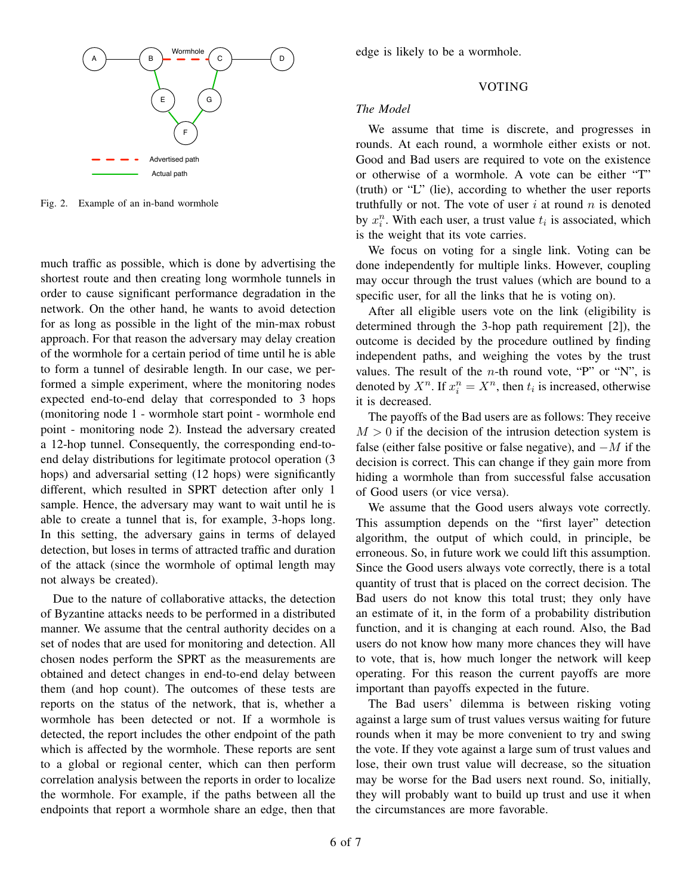

Fig. 2. Example of an in-band wormhole

much traffic as possible, which is done by advertising the shortest route and then creating long wormhole tunnels in order to cause significant performance degradation in the network. On the other hand, he wants to avoid detection for as long as possible in the light of the min-max robust approach. For that reason the adversary may delay creation of the wormhole for a certain period of time until he is able to form a tunnel of desirable length. In our case, we performed a simple experiment, where the monitoring nodes expected end-to-end delay that corresponded to 3 hops (monitoring node 1 - wormhole start point - wormhole end point - monitoring node 2). Instead the adversary created a 12-hop tunnel. Consequently, the corresponding end-toend delay distributions for legitimate protocol operation (3 hops) and adversarial setting (12 hops) were significantly different, which resulted in SPRT detection after only 1 sample. Hence, the adversary may want to wait until he is able to create a tunnel that is, for example, 3-hops long. In this setting, the adversary gains in terms of delayed detection, but loses in terms of attracted traffic and duration of the attack (since the wormhole of optimal length may not always be created).

Due to the nature of collaborative attacks, the detection of Byzantine attacks needs to be performed in a distributed manner. We assume that the central authority decides on a set of nodes that are used for monitoring and detection. All chosen nodes perform the SPRT as the measurements are obtained and detect changes in end-to-end delay between them (and hop count). The outcomes of these tests are reports on the status of the network, that is, whether a wormhole has been detected or not. If a wormhole is detected, the report includes the other endpoint of the path which is affected by the wormhole. These reports are sent to a global or regional center, which can then perform correlation analysis between the reports in order to localize the wormhole. For example, if the paths between all the endpoints that report a wormhole share an edge, then that edge is likely to be a wormhole.

## VOTING

#### *The Model*

We assume that time is discrete, and progresses in rounds. At each round, a wormhole either exists or not. Good and Bad users are required to vote on the existence or otherwise of a wormhole. A vote can be either "T" (truth) or "L" (lie), according to whether the user reports truthfully or not. The vote of user  $i$  at round  $n$  is denoted by  $x_i^n$ . With each user, a trust value  $t_i$  is associated, which is the weight that its vote carries.

We focus on voting for a single link. Voting can be done independently for multiple links. However, coupling may occur through the trust values (which are bound to a specific user, for all the links that he is voting on).

After all eligible users vote on the link (eligibility is determined through the 3-hop path requirement [2]), the outcome is decided by the procedure outlined by finding independent paths, and weighing the votes by the trust values. The result of the *n*-th round vote, "P" or "N", is denoted by  $X^n$ . If  $x_i^n = X^n$ , then  $t_i$  is increased, otherwise it is decreased.

The payoffs of the Bad users are as follows: They receive  $M > 0$  if the decision of the intrusion detection system is false (either false positive or false negative), and  $-M$  if the decision is correct. This can change if they gain more from hiding a wormhole than from successful false accusation of Good users (or vice versa).

We assume that the Good users always vote correctly. This assumption depends on the "first layer" detection algorithm, the output of which could, in principle, be erroneous. So, in future work we could lift this assumption. Since the Good users always vote correctly, there is a total quantity of trust that is placed on the correct decision. The Bad users do not know this total trust; they only have an estimate of it, in the form of a probability distribution function, and it is changing at each round. Also, the Bad users do not know how many more chances they will have to vote, that is, how much longer the network will keep operating. For this reason the current payoffs are more important than payoffs expected in the future.

The Bad users' dilemma is between risking voting against a large sum of trust values versus waiting for future rounds when it may be more convenient to try and swing the vote. If they vote against a large sum of trust values and lose, their own trust value will decrease, so the situation may be worse for the Bad users next round. So, initially, they will probably want to build up trust and use it when the circumstances are more favorable.